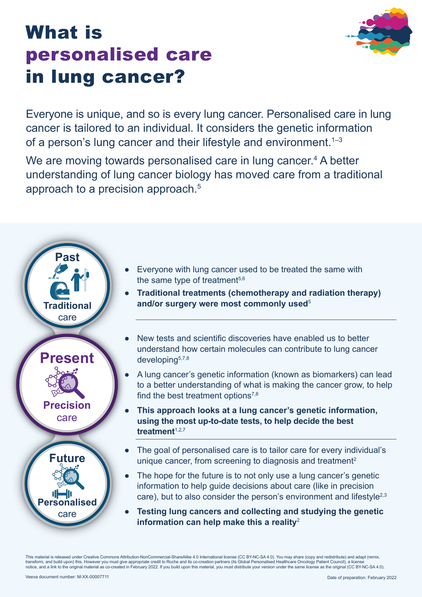# What is personalised care in lung cancer?

Everyone is unique, and so is every lung cancer. Personalised care in lung cancer is tailored to an individual. It considers the genetic information of a person's lung cancer and their lifestyle and environment.<sup>1-3</sup>

We are moving towards personalised care in lung cancer.<sup>4</sup> A better understanding of lung cancer biology has moved care from a traditional approach to a precision approach.<sup>5</sup>



- Everyone with lung cancer used to be treated the same with the same type of treatment<sup>5,6</sup>
- **Traditional treatments (chemotherapy and radiation therapy) and/or surgery were most commonly used**<sup>5</sup>
- New tests and scientific discoveries have enabled us to better understand how certain molecules can contribute to lung cancer developing<sup>5,7,8</sup>
- A lung cancer's genetic information (known as biomarkers) can lead to a better understanding of what is making the cancer grow, to help find the best treatment options $^{7,8}$
- **This approach looks at a lung cancer's genetic information, using the most up-to-date tests, to help decide the best treatment**1,2,7
- The goal of personalised care is to tailor care for every individual's unique cancer, from screening to diagnosis and treatment<sup>2</sup>
- The hope for the future is to not only use a lung cancer's genetic information to help guide decisions about care (like in precision care), but to also consider the person's environment and lifestyle<sup>2,3</sup>
- **Testing lung cancers and collecting and studying the genetic information can help make this a reality**<sup>2</sup>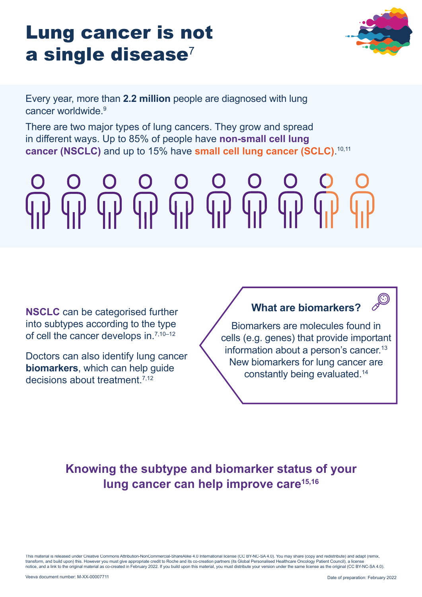# Lung cancer is not  $a$  single disease<sup>7</sup>



Every year, more than **2.2 million** people are diagnosed with lung cancer worldwide.9

There are two major types of lung cancers. They grow and spread in different ways. Up to 85% of people have **non-small cell lung cancer (NSCLC)** and up to 15% have **small cell lung cancer (SCLC)**. 10,11

# 

**NSCLC** can be categorised further into subtypes according to the type of cell the cancer develops in.<sup>7,10–12</sup>

Doctors can also identify lung cancer **biomarkers**, which can help guide decisions about treatment.7,12

### **What are biomarkers?**



Biomarkers are molecules found in cells (e.g. genes) that provide important information about a person's cancer.<sup>13</sup> New biomarkers for lung cancer are constantly being evaluated.14

## **Knowing the subtype and biomarker status of your lung cancer can help improve care15,16**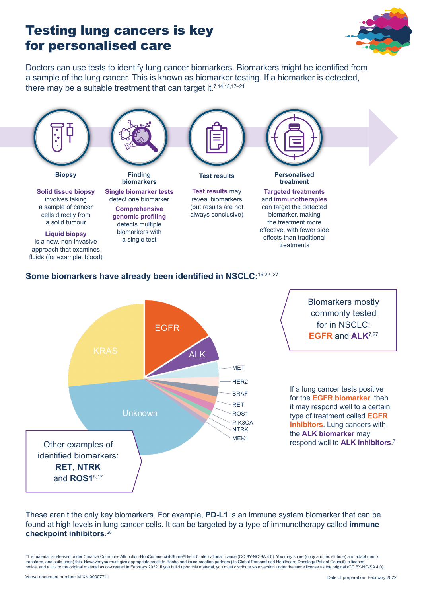# Testing lung cancers is key for personalised care



Doctors can use tests to identify lung cancer biomarkers. Biomarkers might be identified from a sample of the lung cancer. This is known as biomarker testing. If a biomarker is detected, there may be a suitable treatment that can target it.<sup>7,14,15,17-21</sup>



#### **Some biomarkers have already been identified in NSCLC:**16,22–27



These aren't the only key biomarkers. For example, **PD-L1** is an immune system biomarker that can be found at high levels in lung cancer cells. It can be targeted by a type of immunotherapy called **immune checkpoint inhibitors**. 28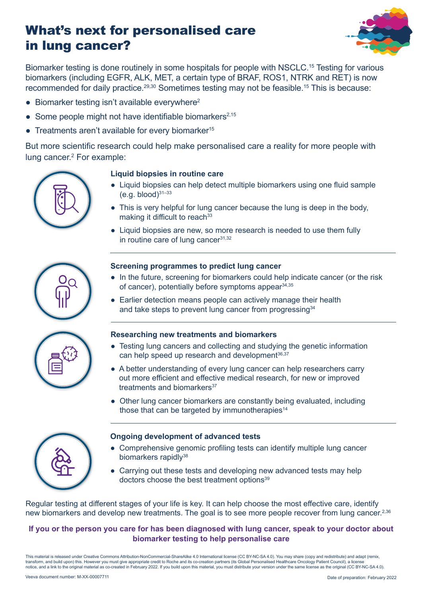# What's next for personalised care in lung cancer?



Biomarker testing is done routinely in some hospitals for people with NSCLC.15 Testing for various biomarkers (including EGFR, ALK, MET, a certain type of BRAF, ROS1, NTRK and RET) is now recommended for daily practice.<sup>29,30</sup> Sometimes testing may not be feasible.<sup>15</sup> This is because:

- $\bullet$  Biomarker testing isn't available everywhere<sup>2</sup>
- Some people might not have identifiable biomarkers<sup>2,15</sup>
- $\bullet$  Treatments aren't available for every biomarker<sup>15</sup>

But more scientific research could help make personalised care a reality for more people with lung cancer.2 For example:



#### **Liquid biopsies in routine care**

- Liquid biopsies can help detect multiple biomarkers using one fluid sample  $(e.g. blood)^{31-33}$
- This is very helpful for lung cancer because the lung is deep in the body, making it difficult to reach $33$
- Liquid biopsies are new, so more research is needed to use them fully in routine care of lung cance $r^{31,32}$





#### **Screening programmes to predict lung cancer**

- In the future, screening for biomarkers could help indicate cancer (or the risk of cancer), potentially before symptoms appear  $34,35$
- Earlier detection means people can actively manage their health and take steps to prevent lung cancer from progressing<sup>34</sup>

#### **Researching new treatments and biomarkers**

- Testing lung cancers and collecting and studying the genetic information can help speed up research and development<sup>36,37</sup>
- A better understanding of every lung cancer can help researchers carry out more efficient and effective medical research, for new or improved treatments and biomarkers<sup>37</sup>
- Other lung cancer biomarkers are constantly being evaluated, including those that can be targeted by immunotherapies $14$



#### **Ongoing development of advanced tests**

- Comprehensive genomic profiling tests can identify multiple lung cancer biomarkers rapidly<sup>38</sup>
- Carrying out these tests and developing new advanced tests may help doctors choose the best treatment options<sup>39</sup>

Regular testing at different stages of your life is key. It can help choose the most effective care, identify new biomarkers and develop new treatments. The goal is to see more people recover from lung cancer.<sup>2,36</sup>

#### **If you or the person you care for has been diagnosed with lung cancer, speak to your doctor about biomarker testing to help personalise care**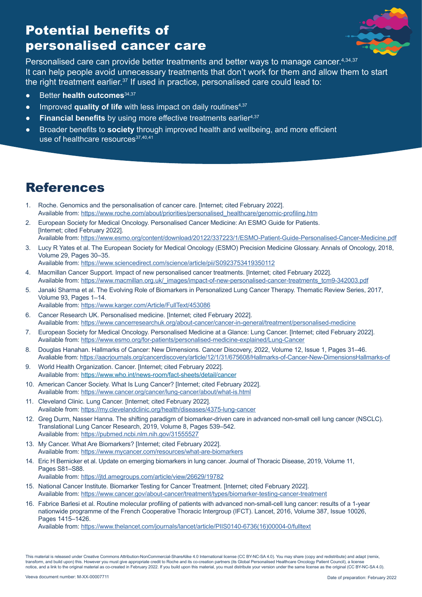# Potential benefits of personalised cancer care



Personalised care can provide better treatments and better ways to manage cancer.<sup>4,34,37</sup> It can help people avoid unnecessary treatments that don't work for them and allow them to start the right treatment earlier. $37$  If used in practice, personalised care could lead to:

- **Better health outcomes**<sup>34,37</sup>
- Improved **quality of life** with less impact on daily routines<sup>4,37</sup>
- Financial benefits by using more effective treatments earlier<sup>4,37</sup>
- Broader benefits to **society** through improved health and wellbeing, and more efficient use of healthcare resources<sup>37,40,41</sup>

# References

- 1. Roche. Genomics and the personalisation of cancer care. [Internet; cited February 2022]. Available from: [https://www.roche.com/about/priorities/personalised\\_healthcare/genomic-profiling.htm](https://www.roche.com/about/priorities/personalised_healthcare/genomic-profiling.htm)
- 2. European Society for Medical Oncology. Personalised Cancer Medicine: An ESMO Guide for Patients. [Internet; cited February 2022]. Available from: [https://www.esmo.org/content/download/20122/337223/1/ESMO-Patient-Guide-Personalised-Cancer-Medicine.pdf](https://www.esmo.org/content/download/20122/337223/1/ESMO-Patient-Guide-Personalised-Cancer-Medicine)
- 3. Lucy R Yates et al. The European Society for Medical Oncology (ESMO) Precision Medicine Glossary. Annals of Oncology, 2018, Volume 29, Pages 30–35.

Available from:<https://www.sciencedirect.com/science/article/pii/S0923753419350112>

- 4. Macmillan Cancer Support. Impact of new personalised cancer treatments. [Internet; cited February 2022]. Available from: [https://www.macmillan.org.uk/\\_images/impact-of-new-personalised-cancer-treatments\\_tcm9-342003.pdf](https://www.macmillan.org.uk/_images/impact-of-new-personalised-cancer-treatments_tcm9-342003.pdf)
- 5. Janaki Sharma et al. The Evolving Role of Biomarkers in Personalized Lung Cancer Therapy. Thematic Review Series, 2017, Volume 93, Pages 1–14.
	- Available from:<https://www.karger.com/Article/FullText/453086>
- 6. Cancer Research UK. Personalised medicine. [Internet; cited February 2022]. Available from:<https://www.cancerresearchuk.org/about-cancer/cancer-in-general/treatment/personalised-medicine>
- 7. European Society for Medical Oncology. Personalised Medicine at a Glance: Lung Cancer. [Internet; cited February 2022]. Available from:<https://www.esmo.org/for-patients/personalised-medicine-explained/Lung-Cancer>
- 8. Douglas Hanahan. Hallmarks of Cancer: New Dimensions. Cancer Discovery, 2022, Volume 12, Issue 1, Pages 31–46. Avaliable from: [https://aacrjournals.org/cancerdiscovery/article/12/1/31/675608/Hallmarks-of-Cancer-New-DimensionsHallmarks-of](https://aacrjournals.org/cancerdiscovery/article/12/1/31/675608/Hallmarks-of-Cancer-New-DimensionsHa)
- 9. World Health Organization. Cancer. [Internet; cited February 2022]. Available from:<https://www.who.int/news-room/fact-sheets/detail/cancer>
- 10. American Cancer Society. What Is Lung Cancer? [Internet; cited February 2022]. Available from:<https://www.cancer.org/cancer/lung-cancer/about/what-is.html>
- 11. Cleveland Clinic. Lung Cancer. [Internet; cited February 2022]. Available from:<https://my.clevelandclinic.org/health/diseases/4375-lung-cancer>
- 12. Greg Durm, Nasser Hanna. The shifting paradigm of biomarker-driven care in advanced non-small cell lung cancer (NSCLC). Translational Lung Cancer Research, 2019, Volume 8, Pages 539–542. Available from:<https://pubmed.ncbi.nlm.nih.gov/31555527>
- 13. My Cancer. What Are Biomarkers? [Internet; cited February 2022]. Available from:<https://www.mycancer.com/resources/what-are-biomarkers>
- 14. Eric H Bernicker et al. Update on emerging biomarkers in lung cancer. Journal of Thoracic Disease, 2019, Volume 11, Pages S81–S88.

Available from:<https://jtd.amegroups.com/article/view/26629/19782>

- 15. National Cancer Institute. Biomarker Testing for Cancer Treatment. [Internet; cited February 2022]. Available from:<https://www.cancer.gov/about-cancer/treatment/types/biomarker-testing-cancer-treatment>
- 16. Fabrice Barlesi et al. Routine molecular profiling of patients with advanced non-small-cell lung cancer: results of a 1-year nationwide programme of the French Cooperative Thoracic Intergroup (IFCT). Lancet, 2016, Volume 387, Issue 10026, Pages 1415–1426.

Available from: [https://www.thelancet.com/journals/lancet/article/PIIS0140-6736\(16\)00004-0/fulltext](https://www.thelancet.com/journals/lancet/article/PIIS0140-6736(16)00004-0/fulltext)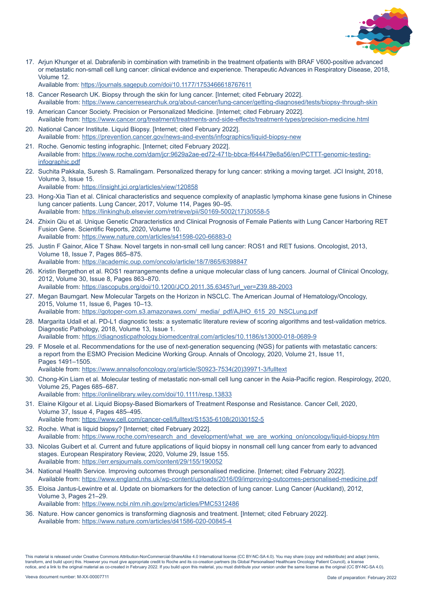

17. Arjun Khunger et al. Dabrafenib in combination with trametinib in the treatment ofpatients with BRAF V600-positive advanced or metastatic non-small cell lung cancer: clinical evidence and experience. Therapeutic Advances in Respiratory Disease, 2018, Volume 12.

Available from:<https://journals.sagepub.com/doi/10.1177/1753466618767611>

- 18. Cancer Research UK. Biopsy through the skin for lung cancer. [Internet; cited February 2022]. Available from: <https://www.cancerresearchuk.org/about-cancer/lung-cancer/getting-diagnosed/tests/biopsy-through-skin>
- 19. American Cancer Society. Precision or Personalized Medicine. [Internet; cited February 2022]. Available from: <https://www.cancer.org/treatment/treatments-and-side-effects/treatment-types/precision-medicine.html>
- 20. National Cancer Institute. Liquid Biopsy. [Internet; cited February 2022]. Available from: <https://prevention.cancer.gov/news-and-events/infographics/liquid-biopsy-new>
- 21. Roche. Genomic testing infographic. [Internet; cited February 2022]. Available from: [https://www.roche.com/dam/jcr:9629a2ae-ed72-471b-bbca-f644479e8a56/en/PCTTT-genomic-testing](https://www.roche.com/dam/jcr:9629a2ae-ed72-471b-bbca-f644479e8a56/en/PCTTT-genomic-testing-infograp)[infographic.pdf](https://www.roche.com/dam/jcr:9629a2ae-ed72-471b-bbca-f644479e8a56/en/PCTTT-genomic-testing-infograp)
- 22. Suchita Pakkala, Suresh S. Ramalingam. Personalized therapy for lung cancer: striking a moving target. JCI Insight, 2018, Volume 3, Issue 15.
	- Available from: <https://insight.jci.org/articles/view/120858>
- 23. Hong-Xia Tian et al. Clinical characteristics and sequence complexity of anaplastic lymphoma kinase gene fusions in Chinese lung cancer patients. Lung Cancer, 2017, Volume 114, Pages 90–95. Available from: [https://linkinghub.elsevier.com/retrieve/pii/S0169-5002\(17\)30558-5](https://linkinghub.elsevier.com/retrieve/pii/S0169-5002(17)30558-5)
- 24. Zhixin Qiu et al. Unique Genetic Characteristics and Clinical Prognosis of Female Patients with Lung Cancer Harboring RET Fusion Gene. Scientific Reports, 2020, Volume 10. Available from: <https://www.nature.com/articles/s41598-020-66883-0>
- 25. Justin F Gainor, Alice T Shaw. Novel targets in non-small cell lung cancer: ROS1 and RET fusions. Oncologist, 2013, Volume 18, Issue 7, Pages 865–875.
- Available from: <https://academic.oup.com/oncolo/article/18/7/865/6398847>
- 26. Kristin Bergethon et al. ROS1 rearrangements define a unique molecular class of lung cancers. Journal of Clinical Oncology, 2012, Volume 30, Issue 8, Pages 863–870. Available from: [https://ascopubs.org/doi/10.1200/JCO.2011.35.6345?url\\_ver=Z39.88-2003](https://ascopubs.org/doi/10.1200/JCO.2011.35.6345?url_ver=Z39.88-2003)
- 27. Megan Baumgart. New Molecular Targets on the Horizon in NSCLC. The American Journal of Hematology/Oncology, 2015, Volume 11, Issue 6, Pages 10–13.

Available from: [https://gotoper-com.s3.amazonaws.com/\\_media/\\_pdf/AJHO\\_615\\_20\\_NSCLung.pdf](https://gotoper-com.s3.amazonaws.com/_media/_pdf/AJHO_615_20_NSCLung.pdf)

28. Margarita Udall et al. PD-L1 diagnostic tests: a systematic literature review of scoring algorithms and test-validation metrics. Diagnostic Pathology, 2018, Volume 13, Issue 1.

Available from: <https://diagnosticpathology.biomedcentral.com/articles/10.1186/s13000-018-0689-9> 29. F Mosele et al. Recommendations for the use of next-generation sequencing (NGS) for patients with metastatic cancers:

a report from the ESMO Precision Medicine Working Group. Annals of Oncology, 2020, Volume 21, Issue 11, Pages 1491–1505.

Available from: [https://www.annalsofoncology.org/article/S0923-7534\(20\)39971-3/fulltext](https://www.annalsofoncology.org/article/S0923-7534(20)39971-3/fulltext)

- 30. Chong-Kin Liam et al. Molecular testing of metastatic non-small cell lung cancer in the Asia-Pacific region. Respirology, 2020, Volume 25, Pages 685–687. Available from: <https://onlinelibrary.wiley.com/doi/10.1111/resp.13833>
- 31. Elaine Kilgour et al. Liquid Biopsy-Based Biomarkers of Treatment Response and Resistance. Cancer Cell, 2020, Volume 37, Issue 4, Pages 485–495. Available from: [https://www.cell.com/cancer-cell/fulltext/S1535-6108\(20\)30152-5](https://www.cell.com/cancer-cell/fulltext/S1535-6108(20)30152-5)
- 32. Roche. What is liquid biopsy? [Internet; cited February 2022]. Available from: [https://www.roche.com/research\\_and\\_development/what\\_we\\_are\\_working\\_on/oncology/liquid-biopsy.htm](https://www.roche.com/research_and_development/what_we_are_working_on/oncology/liquid-biopsy.htm)
- 33. Nicolas Guibert et al. Current and future applications of liquid biopsy in nonsmall cell lung cancer from early to advanced stages. European Respiratory Review, 2020, Volume 29, Issue 155. Available from: <https://err.ersjournals.com/content/29/155/190052>
- 34. National Health Service. Improving outcomes through personalised medicine. [Internet; cited February 2022]. Available from: https://www.england.nhs.uk/wp-content/uploads/2016/09/improving-outcomes-personalised-medicine.pdf
- 35. Eloisa Jantus-Lewintre et al. Update on biomarkers for the detection of lung cancer. Lung Cancer (Auckland), 2012, Volume 3, Pages 21–29.
	- Available from: <https://www.ncbi.nlm.nih.gov/pmc/articles/PMC5312486>
- 36. Nature. How cancer genomics is transforming diagnosis and treatment. [Internet; cited February 2022]. Available from: <https://www.nature.com/articles/d41586-020-00845-4>